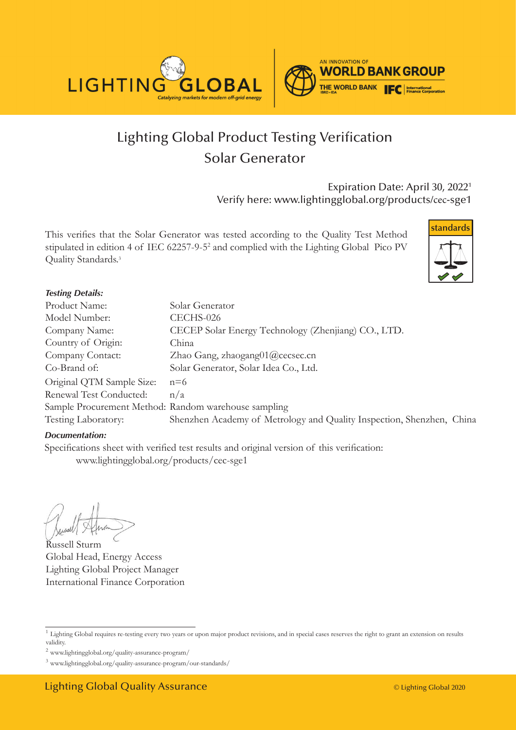

# Lighting Global Product Testing Verification Solar Generator

Expiration Date: April 30, 2022<sup>1</sup> Verify here: www.lightingglobal.org/products/cec-sge1

This verifies that the Solar Generator was tested according to the Quality Test Method stipulated in edition 4 of IEC 62257-9-5<sup>2</sup> and complied with the Lighting Global Pico PV Quality Standards.<sup>3</sup>



#### **Testing Details:**

| Product Name:                                        | Solar Generator                                                       |
|------------------------------------------------------|-----------------------------------------------------------------------|
| Model Number:                                        | CECHS-026                                                             |
| Company Name:                                        | CECEP Solar Energy Technology (Zhenjiang) CO., LTD.                   |
| Country of Origin:                                   | China                                                                 |
| Company Contact:                                     | Zhao Gang, zhaogang01@cecsec.cn                                       |
| Co-Brand of:                                         | Solar Generator, Solar Idea Co., Ltd.                                 |
| Original QTM Sample Size:                            | $n=6$                                                                 |
| Renewal Test Conducted:                              | n/a                                                                   |
| Sample Procurement Method: Random warehouse sampling |                                                                       |
| Testing Laboratory:                                  | Shenzhen Academy of Metrology and Quality Inspection, Shenzhen, China |

#### *Documentation:*

Specifications sheet with verified test results and original version of this verification: www.lightingglobal.org/products/cec-sge1

Russell Sturm Global Head, Energy Access Lighting Global Project Manager International Finance Corporation

<sup>&</sup>lt;sup>1</sup> Lighting Global requires re-testing every two years or upon major product revisions, and in special cases reserves the right to grant an extension on results validity.

 $^2$ www.lightingglobal.org/quality-assurance-program/  $\,$ 

<sup>3</sup> www.lightingglobal.org/quality-assurance-program/our-standards/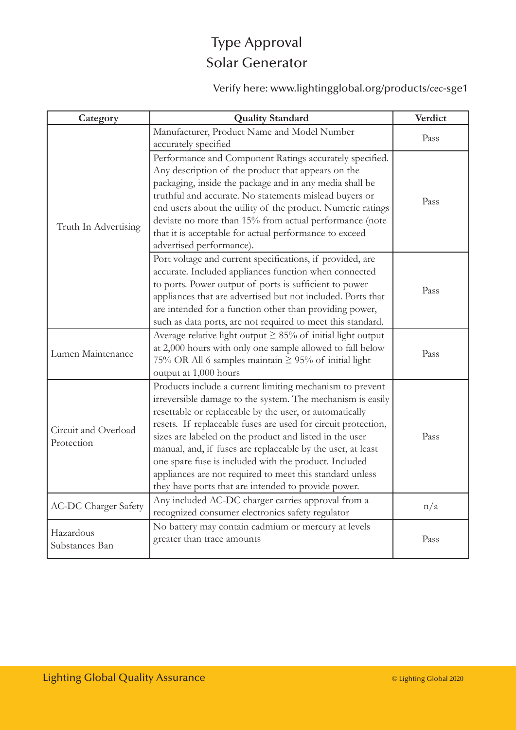# Type Approval Solar Generator

Verify here: www.lightingglobal.org/products/cec-sge1

| Category                           | <b>Quality Standard</b>                                                                                                                                                                                                                                                                                                                                                                                                                                                                                                                                  | Verdict |
|------------------------------------|----------------------------------------------------------------------------------------------------------------------------------------------------------------------------------------------------------------------------------------------------------------------------------------------------------------------------------------------------------------------------------------------------------------------------------------------------------------------------------------------------------------------------------------------------------|---------|
| Truth In Advertising               | Manufacturer, Product Name and Model Number<br>accurately specified                                                                                                                                                                                                                                                                                                                                                                                                                                                                                      | Pass    |
|                                    | Performance and Component Ratings accurately specified.<br>Any description of the product that appears on the<br>packaging, inside the package and in any media shall be<br>truthful and accurate. No statements mislead buyers or<br>end users about the utility of the product. Numeric ratings<br>deviate no more than 15% from actual performance (note<br>that it is acceptable for actual performance to exceed<br>advertised performance).                                                                                                        | Pass    |
|                                    | Port voltage and current specifications, if provided, are<br>accurate. Included appliances function when connected<br>to ports. Power output of ports is sufficient to power<br>appliances that are advertised but not included. Ports that<br>are intended for a function other than providing power,<br>such as data ports, are not required to meet this standard.                                                                                                                                                                                    | Pass    |
| Lumen Maintenance                  | Average relative light output $\geq$ 85% of initial light output<br>at 2,000 hours with only one sample allowed to fall below<br>75% OR All 6 samples maintain $\geq$ 95% of initial light<br>output at 1,000 hours                                                                                                                                                                                                                                                                                                                                      | Pass    |
| Circuit and Overload<br>Protection | Products include a current limiting mechanism to prevent<br>irreversible damage to the system. The mechanism is easily<br>resettable or replaceable by the user, or automatically<br>resets. If replaceable fuses are used for circuit protection,<br>sizes are labeled on the product and listed in the user<br>manual, and, if fuses are replaceable by the user, at least<br>one spare fuse is included with the product. Included<br>appliances are not required to meet this standard unless<br>they have ports that are intended to provide power. | Pass    |
| <b>AC-DC Charger Safety</b>        | Any included AC-DC charger carries approval from a<br>recognized consumer electronics safety regulator                                                                                                                                                                                                                                                                                                                                                                                                                                                   | n/a     |
| Hazardous<br>Substances Ban        | No battery may contain cadmium or mercury at levels<br>greater than trace amounts                                                                                                                                                                                                                                                                                                                                                                                                                                                                        | Pass    |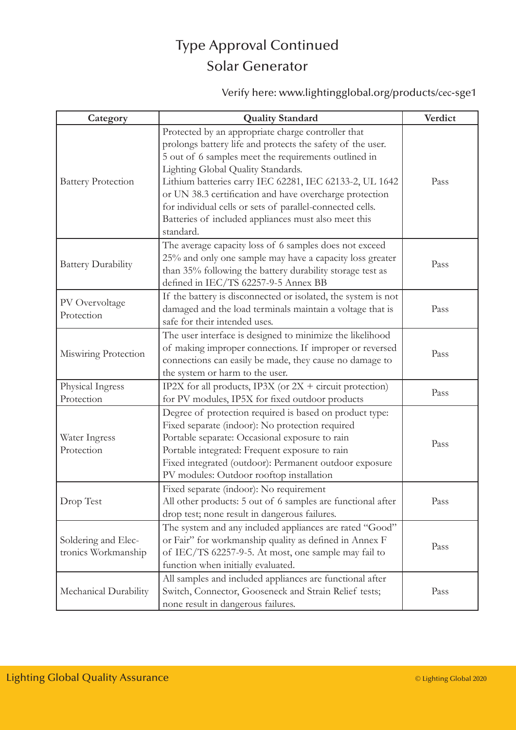#### Type Approval Continued Solar Generator

Verify here: www.lightingglobal.org/products/cec-sge1

| Category                                   | <b>Quality Standard</b>                                                                                                                                                                                                                                                                                                                                                                                                                                                | Verdict |
|--------------------------------------------|------------------------------------------------------------------------------------------------------------------------------------------------------------------------------------------------------------------------------------------------------------------------------------------------------------------------------------------------------------------------------------------------------------------------------------------------------------------------|---------|
| <b>Battery Protection</b>                  | Protected by an appropriate charge controller that<br>prolongs battery life and protects the safety of the user.<br>5 out of 6 samples meet the requirements outlined in<br>Lighting Global Quality Standards.<br>Lithium batteries carry IEC 62281, IEC 62133-2, UL 1642<br>or UN 38.3 certification and have overcharge protection<br>for individual cells or sets of parallel-connected cells.<br>Batteries of included appliances must also meet this<br>standard. | Pass    |
| <b>Battery Durability</b>                  | The average capacity loss of 6 samples does not exceed<br>25% and only one sample may have a capacity loss greater<br>than 35% following the battery durability storage test as<br>defined in IEC/TS 62257-9-5 Annex BB                                                                                                                                                                                                                                                | Pass    |
| PV Overvoltage<br>Protection               | If the battery is disconnected or isolated, the system is not<br>damaged and the load terminals maintain a voltage that is<br>safe for their intended uses.                                                                                                                                                                                                                                                                                                            | Pass    |
| Miswiring Protection                       | The user interface is designed to minimize the likelihood<br>of making improper connections. If improper or reversed<br>connections can easily be made, they cause no damage to<br>the system or harm to the user.                                                                                                                                                                                                                                                     | Pass    |
| Physical Ingress<br>Protection             | IP2X for all products, IP3X (or $2X +$ circuit protection)<br>for PV modules, IP5X for fixed outdoor products                                                                                                                                                                                                                                                                                                                                                          | Pass    |
| Water Ingress<br>Protection                | Degree of protection required is based on product type:<br>Fixed separate (indoor): No protection required<br>Portable separate: Occasional exposure to rain<br>Portable integrated: Frequent exposure to rain<br>Fixed integrated (outdoor): Permanent outdoor exposure<br>PV modules: Outdoor rooftop installation                                                                                                                                                   | Pass    |
| Drop Test                                  | Fixed separate (indoor): No requirement<br>All other products: 5 out of 6 samples are functional after<br>drop test; none result in dangerous failures.                                                                                                                                                                                                                                                                                                                | Pass    |
| Soldering and Elec-<br>tronics Workmanship | The system and any included appliances are rated "Good"<br>or Fair" for workmanship quality as defined in Annex F<br>of IEC/TS 62257-9-5. At most, one sample may fail to<br>function when initially evaluated.                                                                                                                                                                                                                                                        | Pass    |
| Mechanical Durability                      | All samples and included appliances are functional after<br>Switch, Connector, Gooseneck and Strain Relief tests;<br>none result in dangerous failures.                                                                                                                                                                                                                                                                                                                | Pass    |